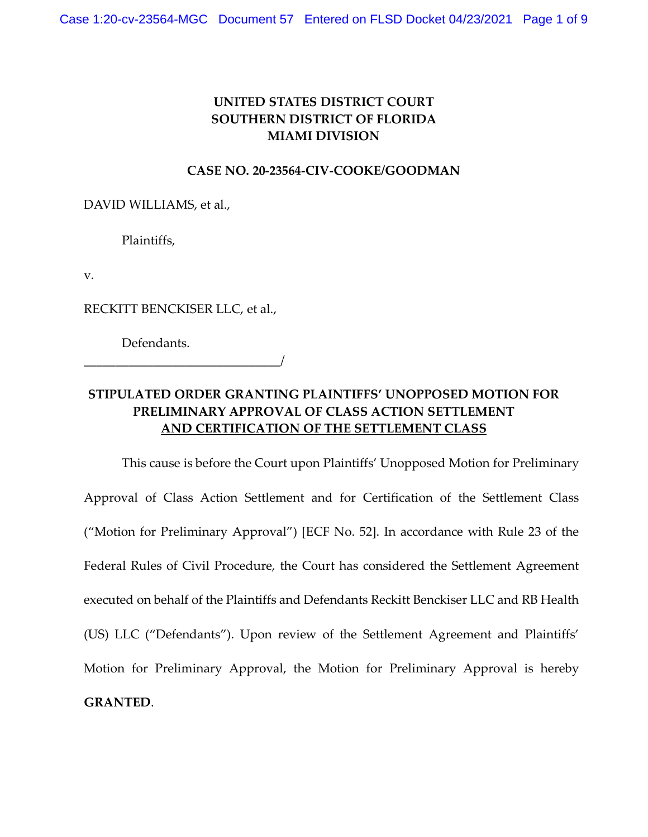## **UNITED STATES DISTRICT COURT SOUTHERN DISTRICT OF FLORIDA MIAMI DIVISION**

## **CASE NO. 20-23564-CIV-COOKE/GOODMAN**

DAVID WILLIAMS, et al.,

Plaintiffs,

v.

RECKITT BENCKISER LLC, et al.,

Defendants.

\_\_\_\_\_\_\_\_\_\_\_\_\_\_\_\_\_\_\_\_\_\_\_\_\_\_\_\_\_\_\_/

## **STIPULATED ORDER GRANTING PLAINTIFFS' UNOPPOSED MOTION FOR PRELIMINARY APPROVAL OF CLASS ACTION SETTLEMENT AND CERTIFICATION OF THE SETTLEMENT CLASS**

This cause is before the Court upon Plaintiffs' Unopposed Motion for Preliminary Approval of Class Action Settlement and for Certification of the Settlement Class ("Motion for Preliminary Approval") [ECF No. 52]. In accordance with Rule 23 of the Federal Rules of Civil Procedure, the Court has considered the Settlement Agreement executed on behalf of the Plaintiffs and Defendants Reckitt Benckiser LLC and RB Health (US) LLC ("Defendants"). Upon review of the Settlement Agreement and Plaintiffs' Motion for Preliminary Approval, the Motion for Preliminary Approval is hereby **GRANTED**.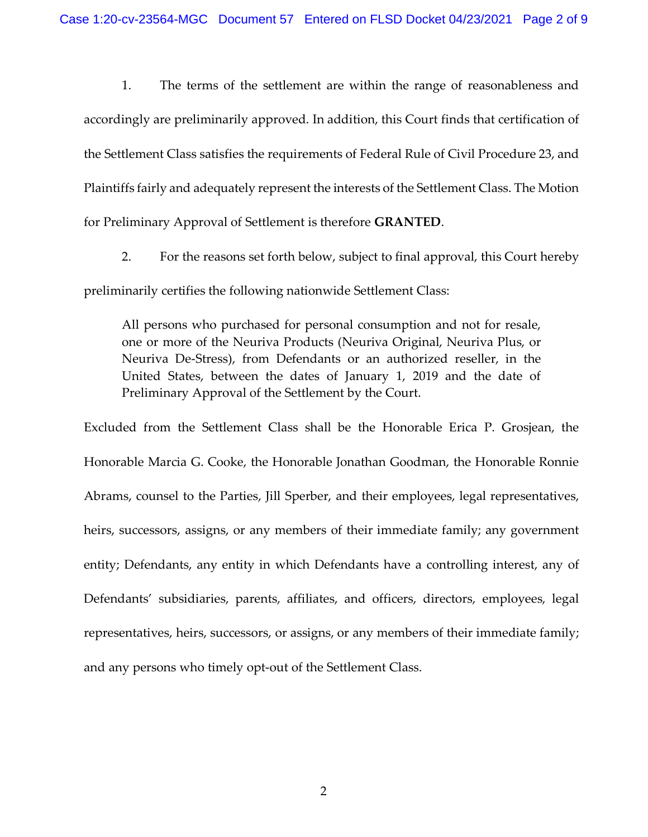1. The terms of the settlement are within the range of reasonableness and accordingly are preliminarily approved. In addition, this Court finds that certification of the Settlement Class satisfies the requirements of Federal Rule of Civil Procedure 23, and Plaintiffs fairly and adequately represent the interests of the Settlement Class. The Motion for Preliminary Approval of Settlement is therefore **GRANTED**.

2. For the reasons set forth below, subject to final approval, this Court hereby preliminarily certifies the following nationwide Settlement Class:

All persons who purchased for personal consumption and not for resale, one or more of the Neuriva Products (Neuriva Original, Neuriva Plus, or Neuriva De-Stress), from Defendants or an authorized reseller, in the United States, between the dates of January 1, 2019 and the date of Preliminary Approval of the Settlement by the Court.

Excluded from the Settlement Class shall be the Honorable Erica P. Grosjean, the Honorable Marcia G. Cooke, the Honorable Jonathan Goodman, the Honorable Ronnie Abrams, counsel to the Parties, Jill Sperber, and their employees, legal representatives, heirs, successors, assigns, or any members of their immediate family; any government entity; Defendants, any entity in which Defendants have a controlling interest, any of Defendants' subsidiaries, parents, affiliates, and officers, directors, employees, legal representatives, heirs, successors, or assigns, or any members of their immediate family; and any persons who timely opt-out of the Settlement Class.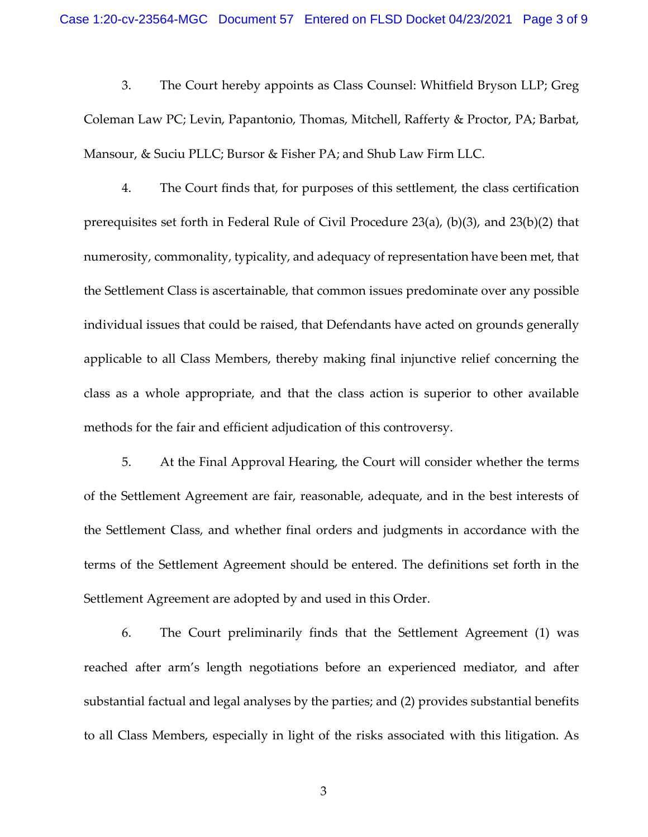3. The Court hereby appoints as Class Counsel: Whitfield Bryson LLP; Greg Coleman Law PC; Levin, Papantonio, Thomas, Mitchell, Rafferty & Proctor, PA; Barbat, Mansour, & Suciu PLLC; Bursor & Fisher PA; and Shub Law Firm LLC.

4. The Court finds that, for purposes of this settlement, the class certification prerequisites set forth in Federal Rule of Civil Procedure 23(a), (b)(3), and 23(b)(2) that numerosity, commonality, typicality, and adequacy of representation have been met, that the Settlement Class is ascertainable, that common issues predominate over any possible individual issues that could be raised, that Defendants have acted on grounds generally applicable to all Class Members, thereby making final injunctive relief concerning the class as a whole appropriate, and that the class action is superior to other available methods for the fair and efficient adjudication of this controversy.

5. At the Final Approval Hearing, the Court will consider whether the terms of the Settlement Agreement are fair, reasonable, adequate, and in the best interests of the Settlement Class, and whether final orders and judgments in accordance with the terms of the Settlement Agreement should be entered. The definitions set forth in the Settlement Agreement are adopted by and used in this Order.

6. The Court preliminarily finds that the Settlement Agreement (1) was reached after arm's length negotiations before an experienced mediator, and after substantial factual and legal analyses by the parties; and (2) provides substantial benefits to all Class Members, especially in light of the risks associated with this litigation. As

3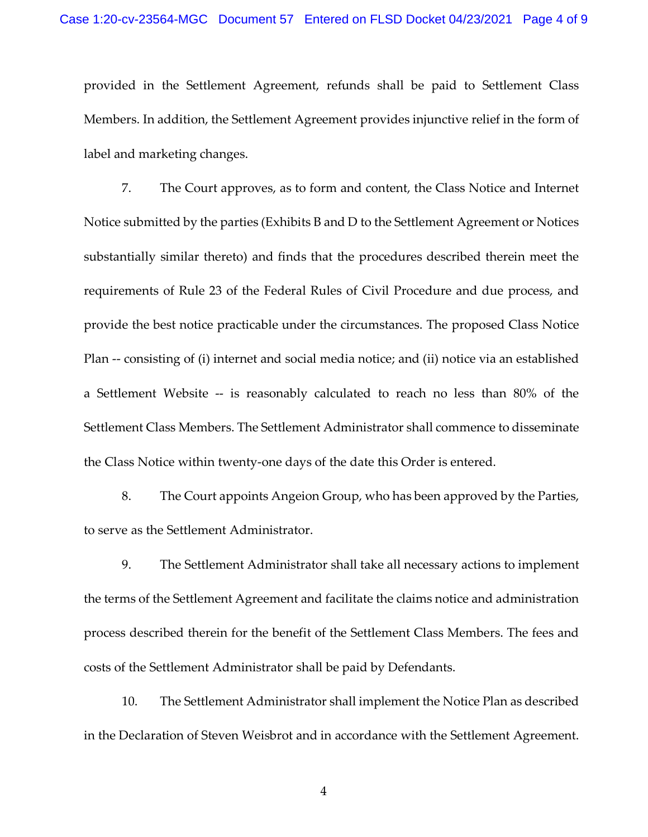provided in the Settlement Agreement, refunds shall be paid to Settlement Class Members. In addition, the Settlement Agreement provides injunctive relief in the form of label and marketing changes.

7. The Court approves, as to form and content, the Class Notice and Internet Notice submitted by the parties (Exhibits B and D to the Settlement Agreement or Notices substantially similar thereto) and finds that the procedures described therein meet the requirements of Rule 23 of the Federal Rules of Civil Procedure and due process, and provide the best notice practicable under the circumstances. The proposed Class Notice Plan -- consisting of (i) internet and social media notice; and (ii) notice via an established a Settlement Website -- is reasonably calculated to reach no less than 80% of the Settlement Class Members. The Settlement Administrator shall commence to disseminate the Class Notice within twenty-one days of the date this Order is entered.

8. The Court appoints Angeion Group, who has been approved by the Parties, to serve as the Settlement Administrator.

9. The Settlement Administrator shall take all necessary actions to implement the terms of the Settlement Agreement and facilitate the claims notice and administration process described therein for the benefit of the Settlement Class Members. The fees and costs of the Settlement Administrator shall be paid by Defendants.

10. The Settlement Administrator shall implement the Notice Plan as described in the Declaration of Steven Weisbrot and in accordance with the Settlement Agreement.

4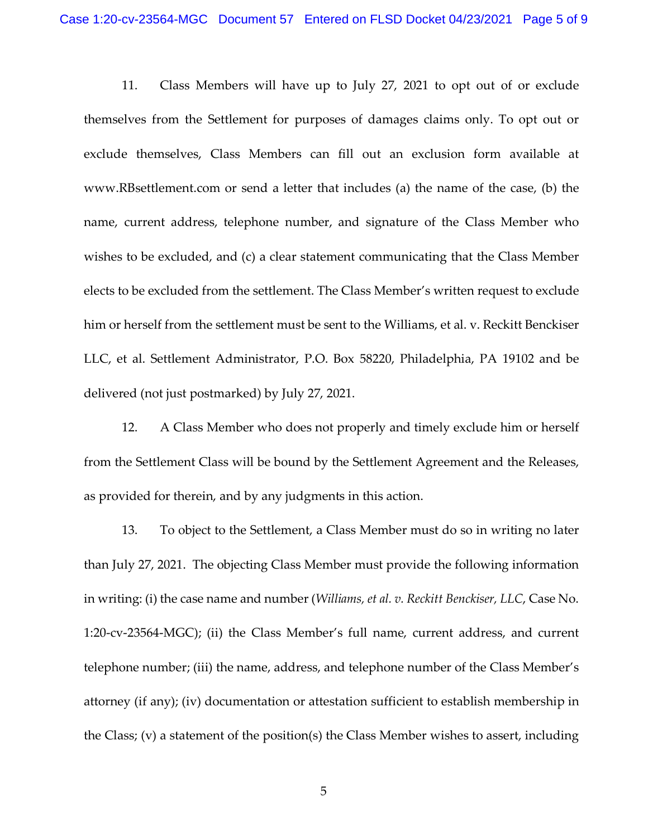11. Class Members will have up to July 27, 2021 to opt out of or exclude themselves from the Settlement for purposes of damages claims only. To opt out or exclude themselves, Class Members can fill out an exclusion form available at www.RBsettlement.com or send a letter that includes (a) the name of the case, (b) the name, current address, telephone number, and signature of the Class Member who wishes to be excluded, and (c) a clear statement communicating that the Class Member elects to be excluded from the settlement. The Class Member's written request to exclude him or herself from the settlement must be sent to the Williams, et al. v. Reckitt Benckiser LLC, et al. Settlement Administrator, P.O. Box 58220, Philadelphia, PA 19102 and be delivered (not just postmarked) by July 27, 2021.

12. A Class Member who does not properly and timely exclude him or herself from the Settlement Class will be bound by the Settlement Agreement and the Releases, as provided for therein, and by any judgments in this action.

13. To object to the Settlement, a Class Member must do so in writing no later than July 27, 2021. The objecting Class Member must provide the following information in writing: (i) the case name and number (*Williams, et al. v. Reckitt Benckiser, LLC*, Case No. 1:20-cv-23564-MGC); (ii) the Class Member's full name, current address, and current telephone number; (iii) the name, address, and telephone number of the Class Member's attorney (if any); (iv) documentation or attestation sufficient to establish membership in the Class; (v) a statement of the position(s) the Class Member wishes to assert, including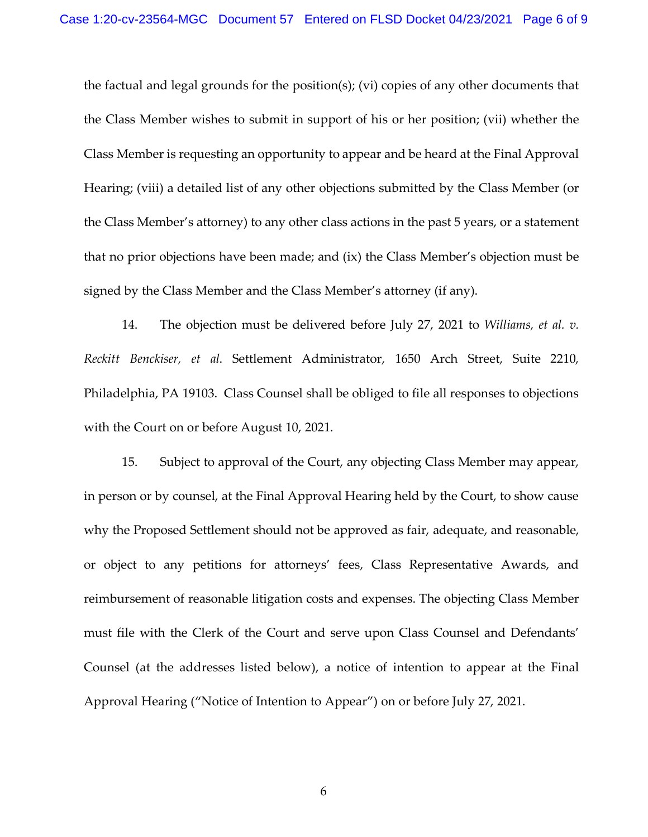the factual and legal grounds for the position(s); (vi) copies of any other documents that the Class Member wishes to submit in support of his or her position; (vii) whether the Class Member is requesting an opportunity to appear and be heard at the Final Approval Hearing; (viii) a detailed list of any other objections submitted by the Class Member (or the Class Member's attorney) to any other class actions in the past 5 years, or a statement that no prior objections have been made; and (ix) the Class Member's objection must be signed by the Class Member and the Class Member's attorney (if any).

14. The objection must be delivered before July 27, 2021 to *Williams, et al. v. Reckitt Benckiser, et al*. Settlement Administrator, 1650 Arch Street, Suite 2210, Philadelphia, PA 19103. Class Counsel shall be obliged to file all responses to objections with the Court on or before August 10, 2021.

15. Subject to approval of the Court, any objecting Class Member may appear, in person or by counsel, at the Final Approval Hearing held by the Court, to show cause why the Proposed Settlement should not be approved as fair, adequate, and reasonable, or object to any petitions for attorneys' fees, Class Representative Awards, and reimbursement of reasonable litigation costs and expenses. The objecting Class Member must file with the Clerk of the Court and serve upon Class Counsel and Defendants' Counsel (at the addresses listed below), a notice of intention to appear at the Final Approval Hearing ("Notice of Intention to Appear") on or before July 27, 2021.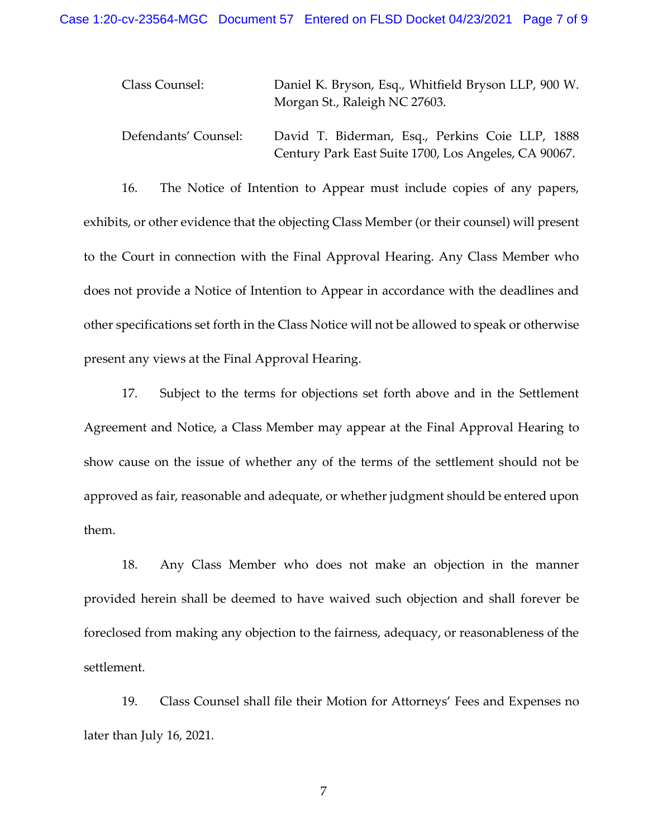| Class Counsel:       | Daniel K. Bryson, Esq., Whitfield Bryson LLP, 900 W.<br>Morgan St., Raleigh NC 27603.                   |
|----------------------|---------------------------------------------------------------------------------------------------------|
| Defendants' Counsel: | David T. Biderman, Esq., Perkins Coie LLP, 1888<br>Century Park East Suite 1700, Los Angeles, CA 90067. |

16. The Notice of Intention to Appear must include copies of any papers, exhibits, or other evidence that the objecting Class Member (or their counsel) will present to the Court in connection with the Final Approval Hearing. Any Class Member who does not provide a Notice of Intention to Appear in accordance with the deadlines and other specifications set forth in the Class Notice will not be allowed to speak or otherwise present any views at the Final Approval Hearing.

17. Subject to the terms for objections set forth above and in the Settlement Agreement and Notice, a Class Member may appear at the Final Approval Hearing to show cause on the issue of whether any of the terms of the settlement should not be approved as fair, reasonable and adequate, or whether judgment should be entered upon them.

18. Any Class Member who does not make an objection in the manner provided herein shall be deemed to have waived such objection and shall forever be foreclosed from making any objection to the fairness, adequacy, or reasonableness of the settlement.

19. Class Counsel shall file their Motion for Attorneys' Fees and Expenses no later than July 16, 2021.

7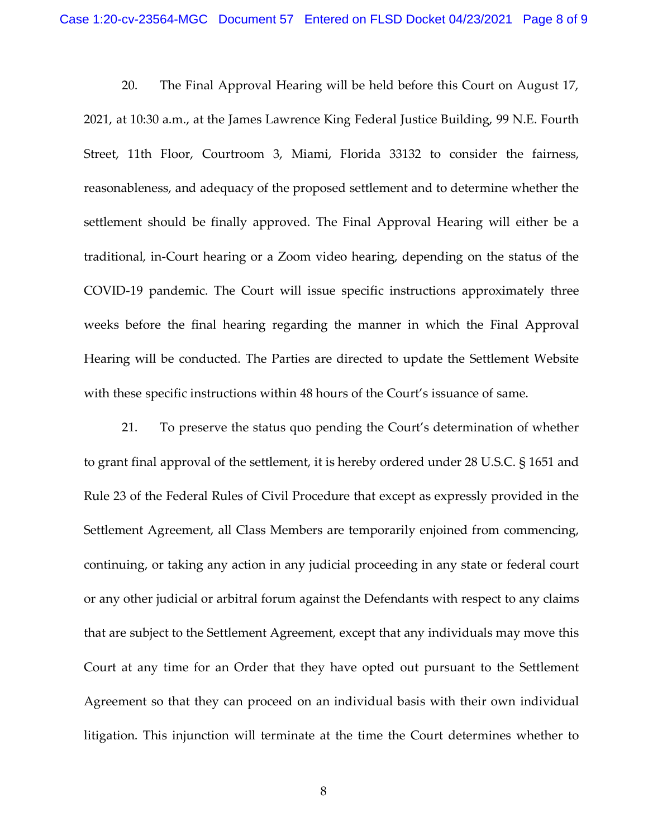20. The Final Approval Hearing will be held before this Court on August 17, 2021, at 10:30 a.m., at the James Lawrence King Federal Justice Building, 99 N.E. Fourth Street, 11th Floor, Courtroom 3, Miami, Florida 33132 to consider the fairness, reasonableness, and adequacy of the proposed settlement and to determine whether the settlement should be finally approved. The Final Approval Hearing will either be a traditional, in-Court hearing or a Zoom video hearing, depending on the status of the COVID-19 pandemic. The Court will issue specific instructions approximately three weeks before the final hearing regarding the manner in which the Final Approval Hearing will be conducted. The Parties are directed to update the Settlement Website with these specific instructions within 48 hours of the Court's issuance of same.

21. To preserve the status quo pending the Court's determination of whether to grant final approval of the settlement, it is hereby ordered under 28 U.S.C. § 1651 and Rule 23 of the Federal Rules of Civil Procedure that except as expressly provided in the Settlement Agreement, all Class Members are temporarily enjoined from commencing, continuing, or taking any action in any judicial proceeding in any state or federal court or any other judicial or arbitral forum against the Defendants with respect to any claims that are subject to the Settlement Agreement, except that any individuals may move this Court at any time for an Order that they have opted out pursuant to the Settlement Agreement so that they can proceed on an individual basis with their own individual litigation. This injunction will terminate at the time the Court determines whether to